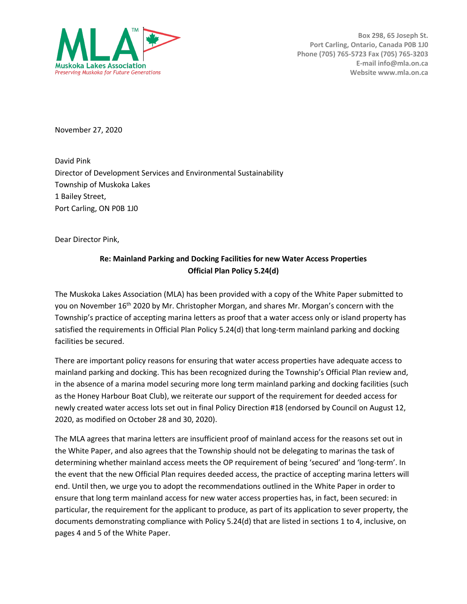

**Box 298, 65 Joseph St. Port Carling, Ontario, Canada P0B 1J0 Phone (705) 765-5723 Fax (705) 765-3203 E-mail info@mla.on.ca Website www.mla.on.ca**

November 27, 2020

David Pink Director of Development Services and Environmental Sustainability Township of Muskoka Lakes 1 Bailey Street, Port Carling, ON P0B 1J0

Dear Director Pink,

## **Re: Mainland Parking and Docking Facilities for new Water Access Properties Official Plan Policy 5.24(d)**

The Muskoka Lakes Association (MLA) has been provided with a copy of the White Paper submitted to you on November 16<sup>th</sup> 2020 by Mr. Christopher Morgan, and shares Mr. Morgan's concern with the Township's practice of accepting marina letters as proof that a water access only or island property has satisfied the requirements in Official Plan Policy 5.24(d) that long-term mainland parking and docking facilities be secured.

There are important policy reasons for ensuring that water access properties have adequate access to mainland parking and docking. This has been recognized during the Township's Official Plan review and, in the absence of a marina model securing more long term mainland parking and docking facilities (such as the Honey Harbour Boat Club), we reiterate our support of the requirement for deeded access for newly created water access lots set out in final Policy Direction #18 (endorsed by Council on August 12, 2020, as modified on October 28 and 30, 2020).

The MLA agrees that marina letters are insufficient proof of mainland access for the reasons set out in the White Paper, and also agrees that the Township should not be delegating to marinas the task of determining whether mainland access meets the OP requirement of being 'secured' and 'long-term'. In the event that the new Official Plan requires deeded access, the practice of accepting marina letters will end. Until then, we urge you to adopt the recommendations outlined in the White Paper in order to ensure that long term mainland access for new water access properties has, in fact, been secured: in particular, the requirement for the applicant to produce, as part of its application to sever property, the documents demonstrating compliance with Policy 5.24(d) that are listed in sections 1 to 4, inclusive, on pages 4 and 5 of the White Paper.